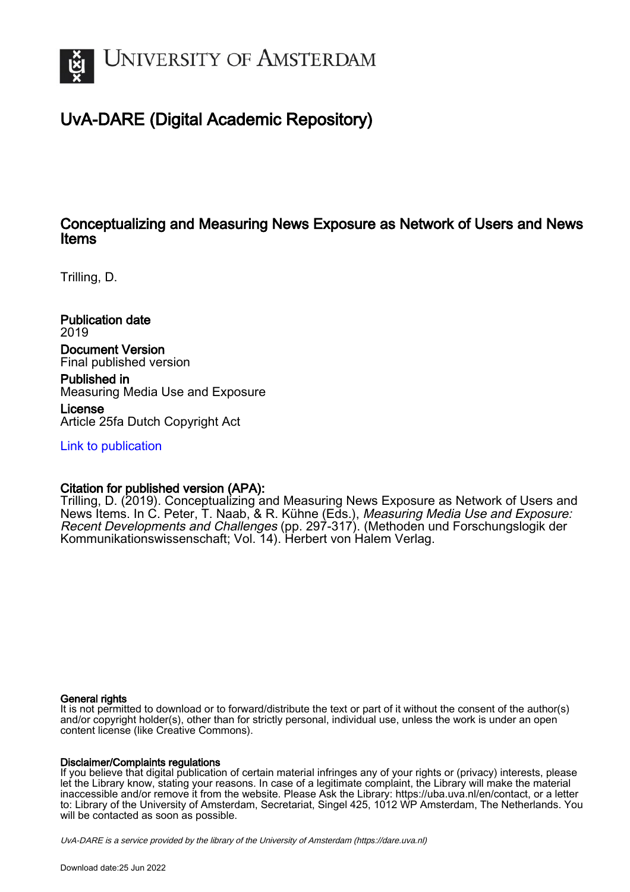

# UvA-DARE (Digital Academic Repository)

## Conceptualizing and Measuring News Exposure as Network of Users and News Items

Trilling, D.

Publication date 2019 Document Version Final published version

Published in Measuring Media Use and Exposure

License Article 25fa Dutch Copyright Act

[Link to publication](https://dare.uva.nl/personal/pure/en/publications/conceptualizing-and-measuring-news-exposure-as-network-of-users-and-news-items(f56576d4-4157-4f93-882f-a5692c5793c3).html)

### Citation for published version (APA):

Trilling, D. (2019). Conceptualizing and Measuring News Exposure as Network of Users and News Items. In C. Peter, T. Naab, & R. Kühne (Eds.), Measuring Media Use and Exposure: Recent Developments and Challenges (pp. 297-317). (Methoden und Forschungslogik der Kommunikationswissenschaft; Vol. 14). Herbert von Halem Verlag.

#### General rights

It is not permitted to download or to forward/distribute the text or part of it without the consent of the author(s) and/or copyright holder(s), other than for strictly personal, individual use, unless the work is under an open content license (like Creative Commons).

#### Disclaimer/Complaints regulations

If you believe that digital publication of certain material infringes any of your rights or (privacy) interests, please let the Library know, stating your reasons. In case of a legitimate complaint, the Library will make the material inaccessible and/or remove it from the website. Please Ask the Library: https://uba.uva.nl/en/contact, or a letter to: Library of the University of Amsterdam, Secretariat, Singel 425, 1012 WP Amsterdam, The Netherlands. You will be contacted as soon as possible.

UvA-DARE is a service provided by the library of the University of Amsterdam (http*s*://dare.uva.nl)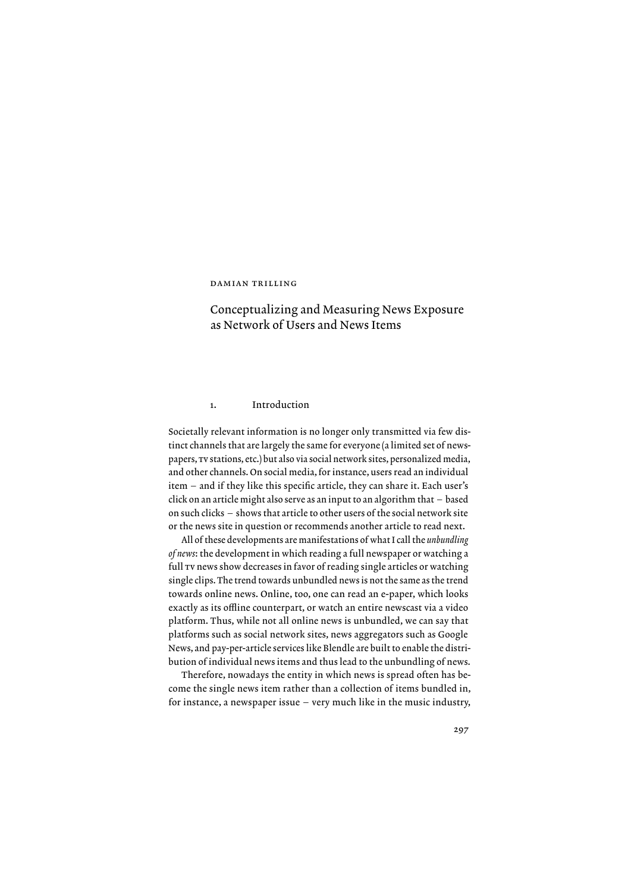#### DAMIAN TRILLING

## Conceptualizing and Measuring News Exposure as Network of Users and News Items

#### 1. Introduction

Societally relevant information is no longer only transmitted via few distinct channels that are largely the same for everyone (a limited set of newspapers, tV stations, etc.) but also via social network sites, personalized media, and other channels. On social media, for instance, users read an individual item – and if they like this specific article, they can share it. Each user's click on an article might also serve as an input to an algorithm that – based on such clicks – shows that article to other users of the social network site or the news site in question or recommends another article to read next.

All of these developments are manifestations of what I call the *unbundling of news*: the development in which reading a full newspaper or watching a full TV news show decreases in favor of reading single articles or watching single clips. The trend towards unbundled news is not the same as the trend towards online news. Online, too, one can read an e-paper, which looks exactly as its offline counterpart, or watch an entire newscast via a video platform. Thus, while not all online news is unbundled, we can say that platforms such as social network sites, news aggregators such as Google News, and pay-per-article services like Blendle are built to enable the distribution of individual news items and thus lead to the unbundling of news.

Therefore, nowadays the entity in which news is spread often has become the single news item rather than a collection of items bundled in, for instance, a newspaper issue – very much like in the music industry,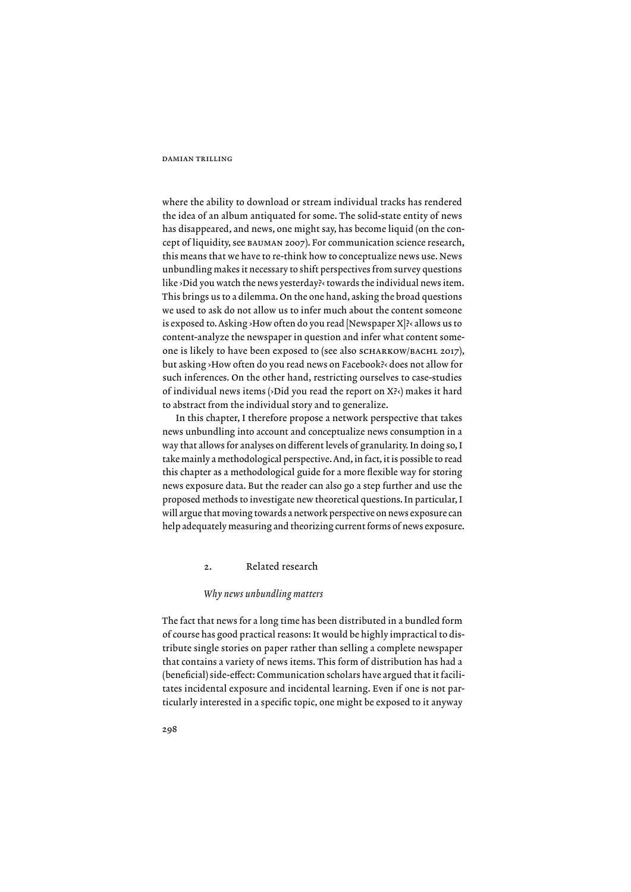where the ability to download or stream individual tracks has rendered the idea of an album antiquated for some. The solid-state entity of news has disappeared, and news, one might say, has become liquid (on the concept of liquidity, see bauman 2007). For communication science research, this means that we have to re-think how to conceptualize news use. News unbundling makes it necessary to shift perspectives from survey questions like ›Did you watch the news yesterday?‹ towards the individual news item. This brings us to a dilemma. On the one hand, asking the broad questions we used to ask do not allow us to infer much about the content someone is exposed to. Asking ›How often do you read [Newspaper X]?‹ allows us to content-analyze the newspaper in question and infer what content someone is likely to have been exposed to (see also sCHARKOW/BACHL 2017), but asking ›How often do you read news on Facebook?‹ does not allow for such inferences. On the other hand, restricting ourselves to case-studies of individual news items (›Did you read the report on X?‹) makes it hard to abstract from the individual story and to generalize.

In this chapter, I therefore propose a network perspective that takes news unbundling into account and conceptualize news consumption in a way that allows for analyses on different levels of granularity. In doing so, I take mainly a methodological perspective. And, in fact, it is possible to read this chapter as a methodological guide for a more flexible way for storing news exposure data. But the reader can also go a step further and use the proposed methods to investigate new theoretical questions. In particular, I will argue that moving towards a network perspective on news exposure can help adequately measuring and theorizing current forms of news exposure.

#### 2. Related research

#### *Why news unbundling matters*

The fact that news for a long time has been distributed in a bundled form of course has good practical reasons: It would be highly impractical to distribute single stories on paper rather than selling a complete newspaper that contains a variety of news items. This form of distribution has had a (beneficial) side-effect: Communication scholars have argued that it facilitates incidental exposure and incidental learning. Even if one is not particularly interested in a specific topic, one might be exposed to it anyway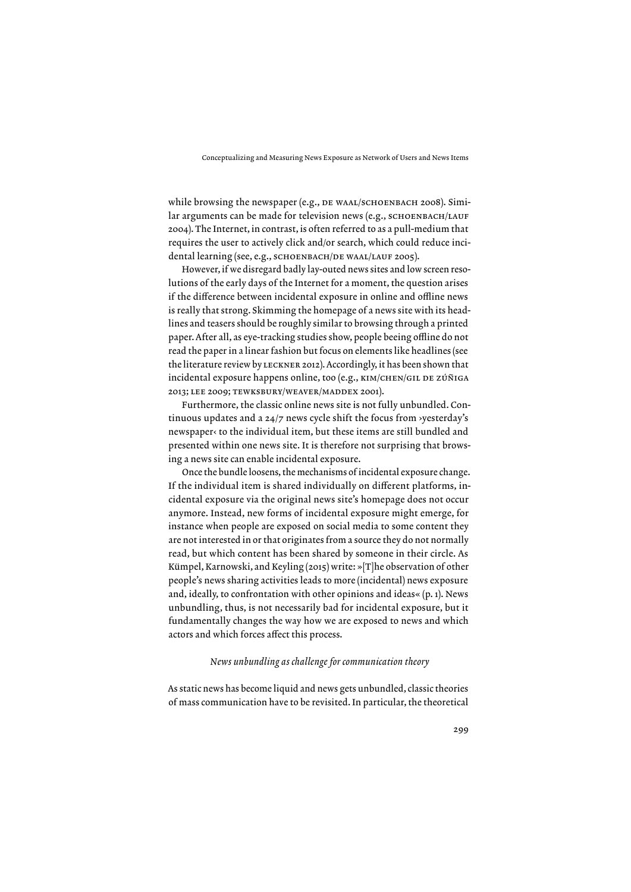while browsing the newspaper (e.g., DE WAAL/SCHOENBACH 2008). Similar arguments can be made for television news (e.g., SCHOENBACH/LAUF 2004). The Internet, in contrast, is often referred to as a pull-medium that requires the user to actively click and/or search, which could reduce incidental learning (see, e.g., SCHOENBACH/DE WAAL/LAUF 2005).

However, if we disregard badly lay-outed news sites and low screen resolutions of the early days of the Internet for a moment, the question arises if the difference between incidental exposure in online and offline news is really that strong. Skimming the homepage of a news site with its headlines and teasers should be roughly similar to browsing through a printed paper. After all, as eye-tracking studies show, people beeing offline do not read the paper in a linear fashion but focus on elements like headlines (see the literature review by leCKner 2012). Accordingly, it has been shown that incidental exposure happens online, too (e.g., KIM/CHEN/GIL DE ZÚÑIGA 2013; lee 2009; tewKsbury/weaVer/maddex 2001).

Furthermore, the classic online news site is not fully unbundled. Continuous updates and a 24/7 news cycle shift the focus from ›yesterday's newspaper< to the individual item, but these items are still bundled and presented within one news site. It is therefore not surprising that browsing a news site can enable incidental exposure.

Once the bundle loosens, the mechanisms of incidental exposure change. If the individual item is shared individually on different platforms, incidental exposure via the original news site's homepage does not occur any more. Instead, new forms of incidental exposure might emerge, for instance when people are exposed on social media to some content they are not interested in or that originates from a source they do not normally read, but which content has been shared by someone in their circle. As Kümpel, Karnowski, and Keyling (2015) write: »[T]he observation of other people's news sharing activities leads to more (incidental) news exposure and, ideally, to confrontation with other opinions and ideas« (p. 1). News unbundling, thus, is not necessarily bad for incidental exposure, but it fundamentally changes the way how we are exposed to news and which actors and which forces affect this process.

#### *News unbundling as challenge for communication theory*

As static news has become liquid and news gets unbundled, classic theories of mass communication have to be revisited. In particular, the theoretical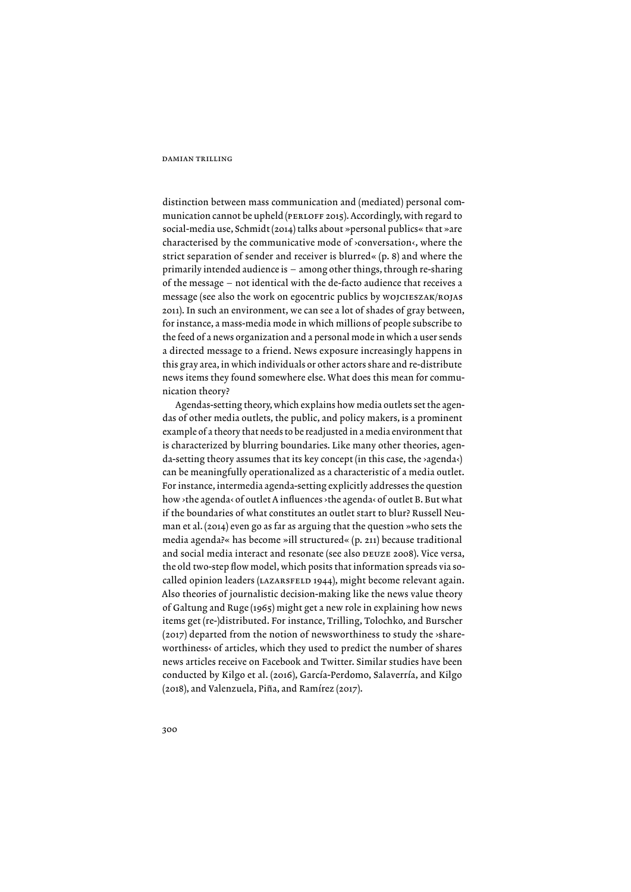distinction between mass communication and (mediated) personal communication cannot be upheld (PERLOFF 2015). Accordingly, with regard to social-media use, Schmidt (2014) talks about »personal publics« that »are characterised by the communicative mode of ›conversation‹, where the strict separation of sender and receiver is blurred« (p. 8) and where the primarily intended audience is – among other things, through re-sharing of the message – not identical with the de-facto audience that receives a message (see also the work on egocentric publics by wojcieszak/rojas 2011). In such an environment, we can see a lot of shades of gray between, for instance, a mass-media mode in which millions of people subscribe to the feed of a news organization and a personal mode in which a user sends a directed message to a friend. News exposure increasingly happens in this gray area, in which individuals or other actors share and re-distribute news items they found somewhere else. What does this mean for communication theory?

Agendas-setting theory, which explains how media outlets set the agendas of other media outlets, the public, and policy makers, is a prominent example of a theory that needs to be readjusted in a media environment that is characterized by blurring boundaries. Like many other theories, agenda-setting theory assumes that its key concept (in this case, the ›agenda‹) can be meaningfully operationalized as a characteristic of a media outlet. For instance, intermedia agenda-setting explicitly addresses the question how ›the agenda‹ of outlet A influences ›the agenda‹ of outlet B. But what if the boundaries of what constitutes an outlet start to blur? Russell Neuman et al. (2014) even go as far as arguing that the question »who sets the media agenda?« has become »ill structured« (p. 211) because traditional and social media interact and resonate (see also DEUZE 2008). Vice versa, the old two-step flow model, which posits that information spreads via socalled opinion leaders (LAZARSFELD 1944), might become relevant again. Also theories of journalistic decision-making like the news value theory of Galtung and Ruge (1965) might get a new role in explaining how news items get (re-)distributed. For instance, Trilling, Tolochko, and Burscher (2017) departed from the notion of newsworthiness to study the ›shareworthiness< of articles, which they used to predict the number of shares news articles receive on Facebook and Twitter. Similar studies have been conducted by Kilgo et al. (2016), García-Perdomo, Salaverría, and Kilgo (2018), and Valenzuela, Piña, and Ramírez (2017).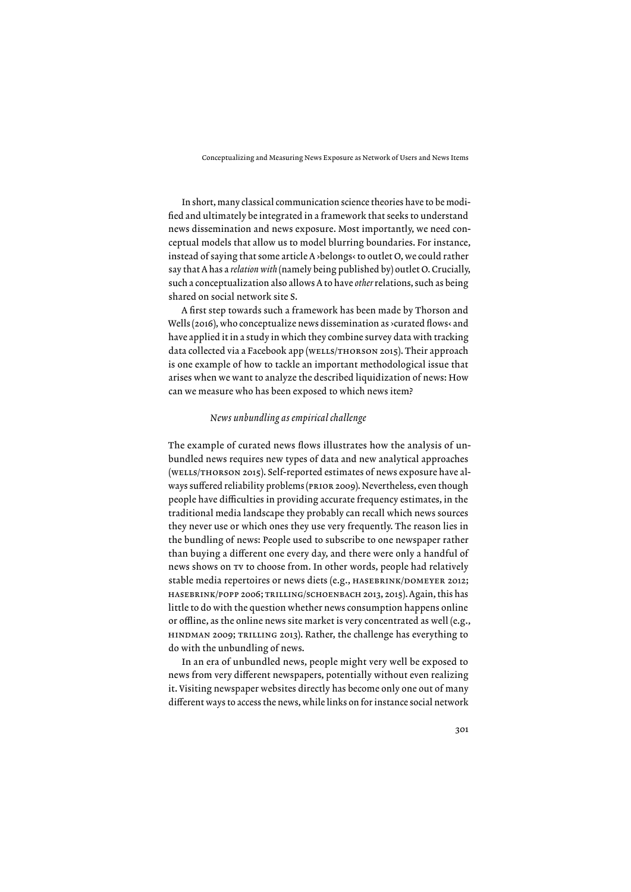In short, many classical communication science theories have to be modified and ultimately be integrated in a framework that seeks to understand news dissemination and news exposure. Most importantly, we need conceptual models that allow us to model blurring boundaries. For instance, instead of saying that some article A ›belongs‹ to outlet O, we could rather say that A has a *relation with* (namely being published by) outlet O. Crucially, such a conceptualization also allows A to have *other* relations, such as being shared on social network site S.

A first step towards such a framework has been made by Thorson and Wells (2016), who conceptualize news dissemination as ›curated flows‹ and have applied it in a study in which they combine survey data with tracking data collected via a Facebook app (WELLS/THORSON 2015). Their approach is one example of how to tackle an important methodological issue that arises when we want to analyze the described liquidization of news: How can we measure who has been exposed to which news item?

#### *News unbundling as empirical challenge*

The example of curated news flows illustrates how the analysis of unbundled news requires new types of data and new analytical approaches (wells/thorson 2015). Self-reported estimates of news exposure have always suffered reliability problems (Prior 2009). Nevertheless, even though people have difficulties in providing accurate frequency estimates, in the traditional media landscape they probably can recall which news sources they never use or which ones they use very frequently. The reason lies in the bundling of news: People used to subscribe to one newspaper rather than buying a different one every day, and there were only a handful of news shows on ty to choose from. In other words, people had relatively stable media repertoires or news diets (e.g., HASEBRINK/DOMEYER 2012; hasebrinK/PoPP 2006; trillinG/sChoenbaCh 2013, 2015). Again, this has little to do with the question whether news consumption happens online or offline, as the online news site market is very concentrated as well (e.g., hindman 2009; trillinG 2013). Rather, the challenge has everything to do with the unbundling of news.

In an era of unbundled news, people might very well be exposed to news from very different newspapers, potentially without even realizing it. Visiting newspaper websites directly has become only one out of many different ways to access the news, while links on for instance social network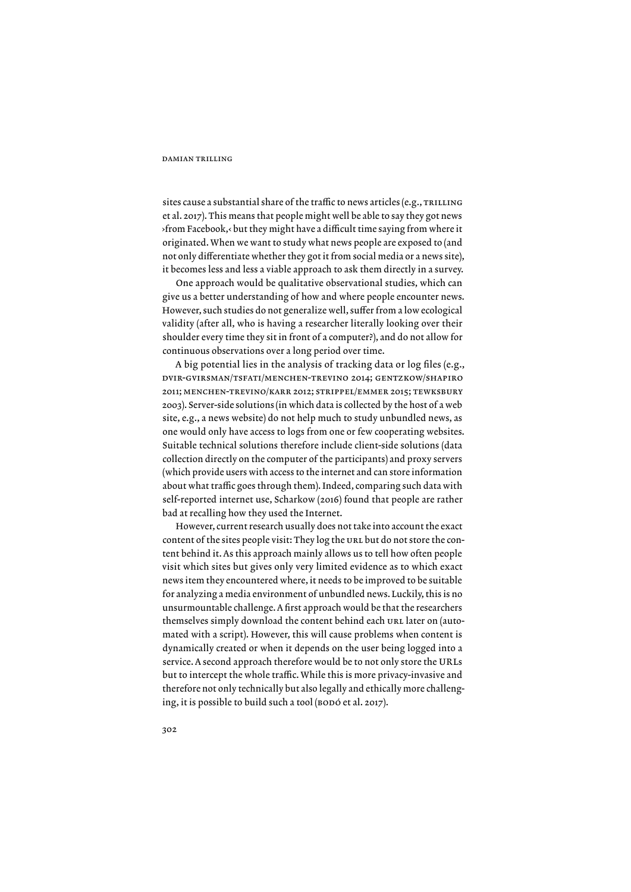sites cause a substantial share of the traffic to news articles (e.g., TRILLING et al. 2017). This means that people might well be able to say they got news ›from Facebook,‹ but they might have a difficult time saying from where it originated. When we want to study what news people are exposed to (and not only differentiate whether they got it from social media or a news site), it becomes less and less a viable approach to ask them directly in a survey.

One approach would be qualitative observational studies, which can give us a better understanding of how and where people encounter news. However, such studies do not generalize well, suffer from a low ecological validity (after all, who is having a researcher literally looking over their shoulder every time they sit in front of a computer?), and do not allow for continuous observations over a long period over time.

A big potential lies in the analysis of tracking data or log files (e.g., dVir-GVirsman/tsFati/menChen-treVino 2014; GentzKow/shaPiro 2011; menChen-treVino/Karr 2012; striPPel/emmer 2015; tewKsbury 2003). Server-side solutions (in which data is collected by the host of a web site, e.g., a news website) do not help much to study unbundled news, as one would only have access to logs from one or few cooperating websites. Suitable technical solutions therefore include client-side solutions (data collection directly on the computer of the participants) and proxy servers (which provide users with access to the internet and can store information about what traffic goes through them). Indeed, comparing such data with self-reported internet use, Scharkow (2016) found that people are rather bad at recalling how they used the Internet.

However, current research usually does not take into account the exact content of the sites people visit: They log the URL but do not store the content behind it. As this approach mainly allows us to tell how often people visit which sites but gives only very limited evidence as to which exact news item they encountered where, it needs to be improved to be suitable for analyzing a media environment of unbundled news. Luckily, this is no unsurmountable challenge. A first approach would be that the researchers themselves simply download the content behind each URL later on (automated with a script). However, this will cause problems when content is dynamically created or when it depends on the user being logged into a service. A second approach therefore would be to not only store the URLs but to intercept the whole traffic. While this is more privacy-invasive and therefore not only technically but also legally and ethically more challenging, it is possible to build such a tool (BODÓ et al. 2017).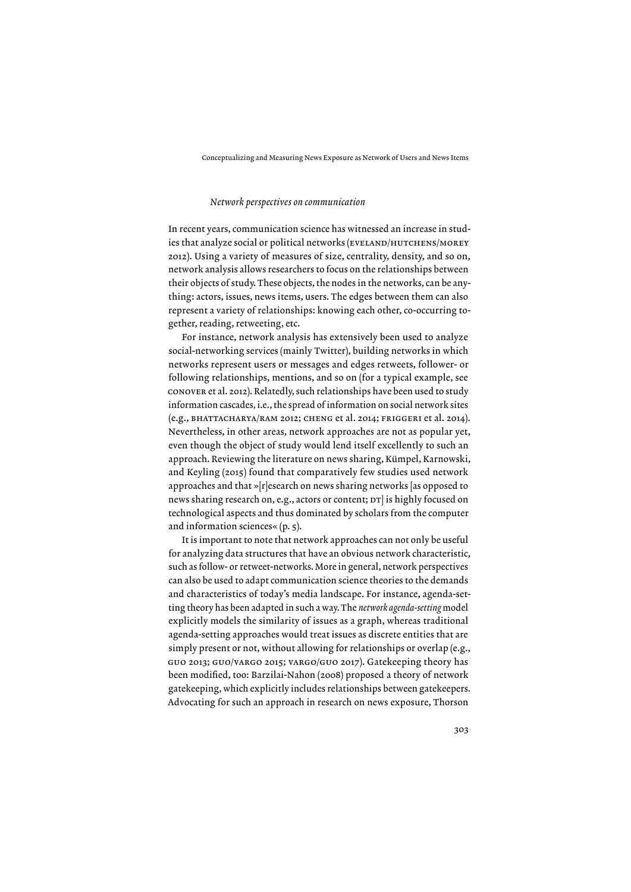#### *Network perspectives on communication*

In recent years, communication science has witnessed an increase in studies that analyze social or political networks (EVELAND/HUTCHENS/MOREY 2012). Using a variety of measures of size, centrality, density, and so on, network analysis allows researchers to focus on the relationships between their objects of study. These objects, the nodes in the networks, can be anything: actors, issues, news items, users. The edges between them can also represent a variety of relationships: knowing each other, co-occurring together, reading, retweeting, etc.

For instance, network analysis has extensively been used to analyze social-networking services (mainly Twitter), building networks in which networks represent users or messages and edges retweets, follower- or following relationships, mentions, and so on (for a typical example, see ConoVer et al. 2012). Relatedly, such relationships have been used to study information cascades, i.e., the spread of information on social network sites (e.g., bhattaCharya/ram 2012; ChenG et al. 2014; FriGGeri et al. 2014). Nevertheless, in other areas, network approaches are not as popular yet, even though the object of study would lend itself excellently to such an approach. Reviewing the literature on news sharing, Kümpel, Karnowski, and Keyling (2015) found that comparatively few studies used network approaches and that »[r]esearch on news sharing networks [as opposed to news sharing research on, e.g., actors or content; DT is highly focused on technological aspects and thus dominated by scholars from the computer and information sciences« (p. 5).

It is important to note that network approaches can not only be useful for analyzing data structures that have an obvious network characteristic, such as follow- or retweet-networks. More in general, network perspectives can also be used to adapt communication science theories to the demands and characteristics of today's media landscape. For instance, agenda-setting theory has been adapted in such a way. The *network agenda-setting* model explicitly models the similarity of issues as a graph, whereas traditional agenda-setting approaches would treat issues as discrete entities that are simply present or not, without allowing for relationships or overlap (e.g., Guo 2013; Guo/VarGo 2015; VarGo/Guo 2017). Gatekeeping theory has been modified, too: Barzilai-Nahon (2008) proposed a theory of network gatekeeping, which explicitly includes relationships between gatekeepers. Advocating for such an approach in research on news exposure, Thorson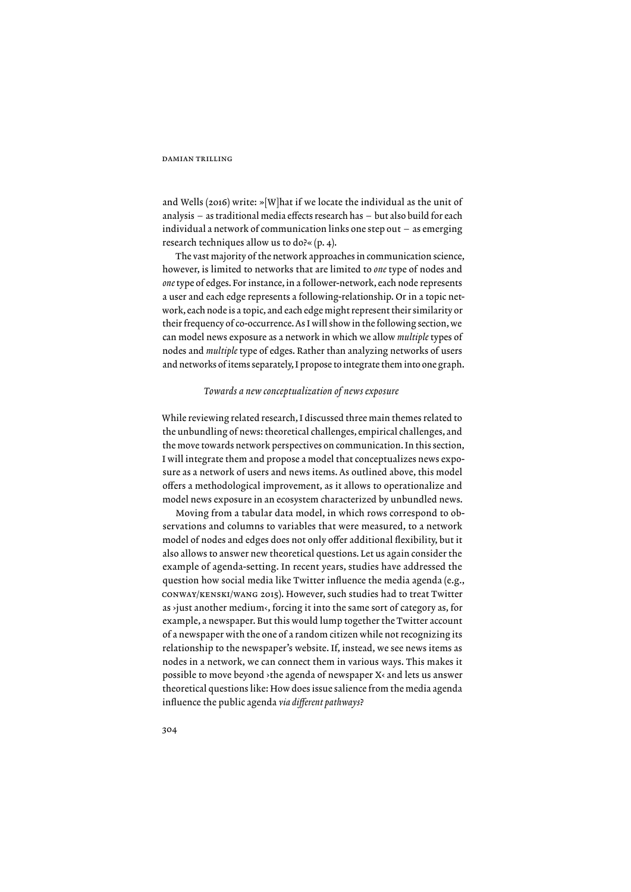and Wells (2016) write: »[W]hat if we locate the individual as the unit of analysis – as traditional media effects research has – but also build for each individual a network of communication links one step out – as emerging research techniques allow us to do?« (p. 4).

The vast majority of the network approaches in communication science, however, is limited to networks that are limited to *one* type of nodes and *one* type of edges. For instance, in a follower-network, each node represents a user and each edge represents a following-relationship. Or in a topic network, each node is a topic, and each edge might represent their similarity or their frequency of co-occurrence. As I will show in the following section, we can model news exposure as a network in which we allow *multiple* types of nodes and *multiple* type of edges. Rather than analyzing networks of users and networks of items separately, I propose to integrate them into one graph.

#### *Towards a new conceptualization of news exposure*

While reviewing related research, I discussed three main themes related to the unbundling of news: theoretical challenges, empirical challenges, and the move towards network perspectives on communication. In this section, I will integrate them and propose a model that conceptualizes news exposure as a network of users and news items. As outlined above, this model offers a methodological improvement, as it allows to operationalize and model news exposure in an ecosystem characterized by unbundled news.

Moving from a tabular data model, in which rows correspond to observations and columns to variables that were measured, to a network model of nodes and edges does not only offer additional flexibility, but it also allows to answer new theoretical questions. Let us again consider the example of agenda-setting. In recent years, studies have addressed the question how social media like Twitter influence the media agenda (e.g., Conway/KensKi/wanG 2015). However, such studies had to treat Twitter as ›just another medium‹, forcing it into the same sort of category as, for example, a newspaper. But this would lump together the Twitter account of a newspaper with the one of a random citizen while not recognizing its relationship to the newspaper's website. If, instead, we see news items as nodes in a network, we can connect them in various ways. This makes it possible to move beyond ›the agenda of newspaper X‹ and lets us answer theoretical questions like: How does issue salience from the media agenda influence the public agenda *via different pathways*?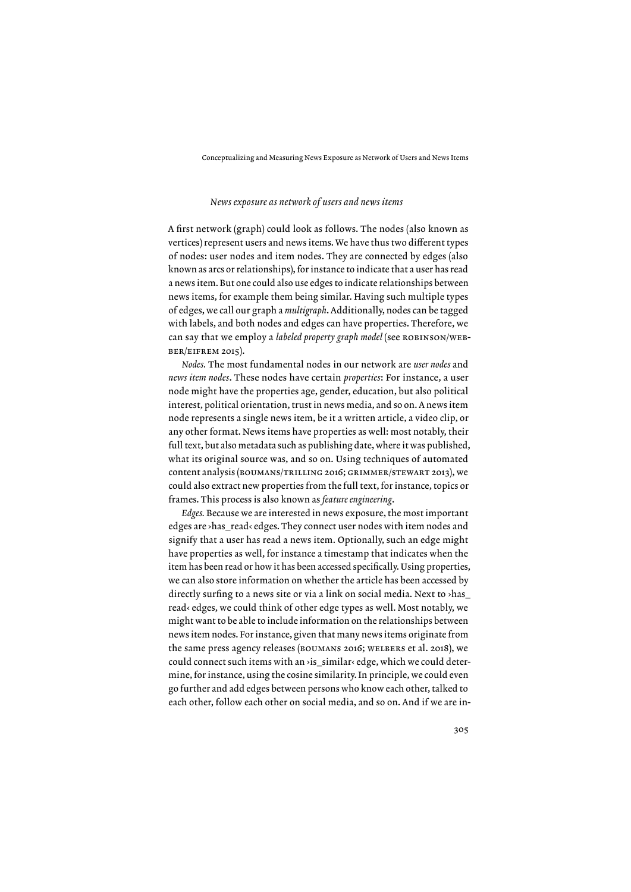#### *News exposure as network of users and news items*

A first network (graph) could look as follows. The nodes (also known as vertices) represent users and news items. We have thus two different types of nodes: user nodes and item nodes. They are connected by edges (also known as arcs or relationships), for instance to indicate that a user has read a news item. But one could also use edges to indicate relationships between news items, for example them being similar. Having such multiple types of edges, we call our graph a *multigraph*. Additionally, nodes can be tagged with labels, and both nodes and edges can have properties. Therefore, we can say that we employ a *labeled property graph model* (see robinson/webber/eiFrem 2015).

*Nodes.* The most fundamental nodes in our network are *user nodes* and *news item nodes*. These nodes have certain *properties*: For instance, a user node might have the properties age, gender, education, but also political interest, political orientation, trust in news media, and so on. A news item node represents a single news item, be it a written article, a video clip, or any other format. News items have properties as well: most notably, their full text, but also metadata such as publishing date, where it was published, what its original source was, and so on. Using techniques of automated content analysis (boumans/trillinG 2016; Grimmer/stewart 2013), we could also extract new properties from the full text, for instance, topics or frames. This process is also known as *feature engineering*.

*Edges.* Because we are interested in news exposure, the most important edges are ›has\_read‹ edges. They connect user nodes with item nodes and signify that a user has read a news item. Optionally, such an edge might have properties as well, for instance a timestamp that indicates when the item has been read or how it has been accessed specifically. Using properties, we can also store information on whether the article has been accessed by directly surfing to a news site or via a link on social media. Next to ›has\_ read‹ edges, we could think of other edge types as well. Most notably, we might want to be able to include information on the relationships between news item nodes. For instance, given that many news items originate from the same press agency releases (boumans 2016; welbers et al. 2018), we could connect such items with an ›is\_similar‹ edge, which we could determine, for instance, using the cosine similarity. In principle, we could even go further and add edges between persons who know each other, talked to each other, follow each other on social media, and so on. And if we are in-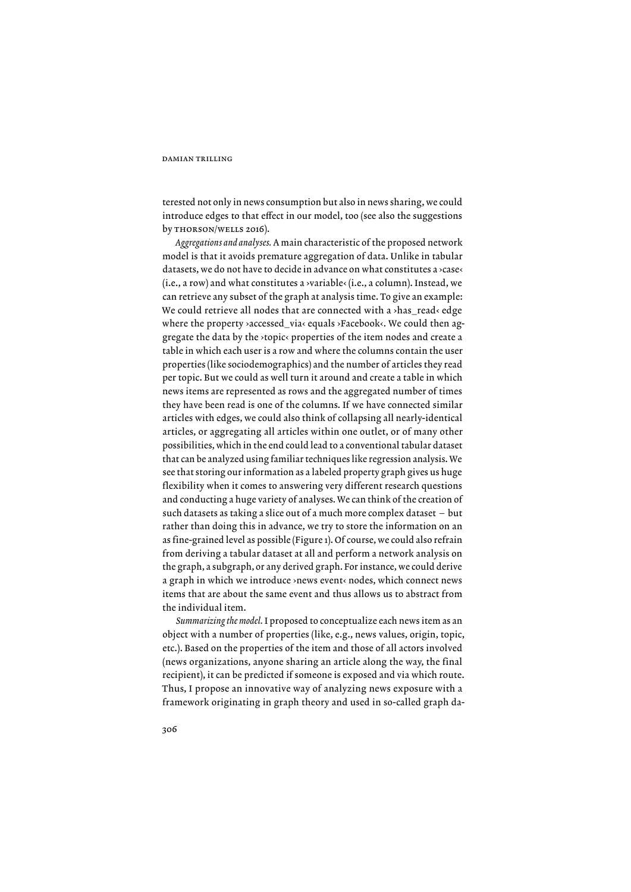terested not only in news consumption but also in news sharing, we could introduce edges to that effect in our model, too (see also the suggestions by thorson/wells 2016).

*Aggregations and analyses.* A main characteristic of the proposed network model is that it avoids premature aggregation of data. Unlike in tabular datasets, we do not have to decide in advance on what constitutes a >case< (i.e., a row) and what constitutes a ›variable‹ (i.e., a column). Instead, we can retrieve any subset of the graph at analysis time. To give an example: We could retrieve all nodes that are connected with a >has\_read< edge where the property >accessed\_via< equals >Facebook<. We could then aggregate the data by the ›topic‹ properties of the item nodes and create a table in which each user is a row and where the columns contain the user properties (like sociodemographics) and the number of articles they read per topic. But we could as well turn it around and create a table in which news items are represented as rows and the aggregated number of times they have been read is one of the columns. If we have connected similar articles with edges, we could also think of collapsing all nearly-identical articles, or aggregating all articles within one outlet, or of many other possibilities, which in the end could lead to a conventional tabular dataset that can be analyzed using familiar techniques like regression analysis. We see that storing our information as a labeled property graph gives us huge flexibility when it comes to answering very different research questions and conducting a huge variety of analyses. We can think of the creation of such datasets as taking a slice out of a much more complex dataset – but rather than doing this in advance, we try to store the information on an as fine-grained level as possible (Figure 1). Of course, we could also refrain from deriving a tabular dataset at all and perform a network analysis on the graph, a subgraph, or any derived graph. For instance, we could derive a graph in which we introduce >news event< nodes, which connect news items that are about the same event and thus allows us to abstract from the individual item.

*Summarizing the model.* I proposed to conceptualize each news item as an object with a number of properties (like, e.g., news values, origin, topic, etc.). Based on the properties of the item and those of all actors involved (news organizations, anyone sharing an article along the way, the final recipient), it can be predicted if someone is exposed and via which route. Thus, I propose an innovative way of analyzing news exposure with a framework originating in graph theory and used in so-called graph da-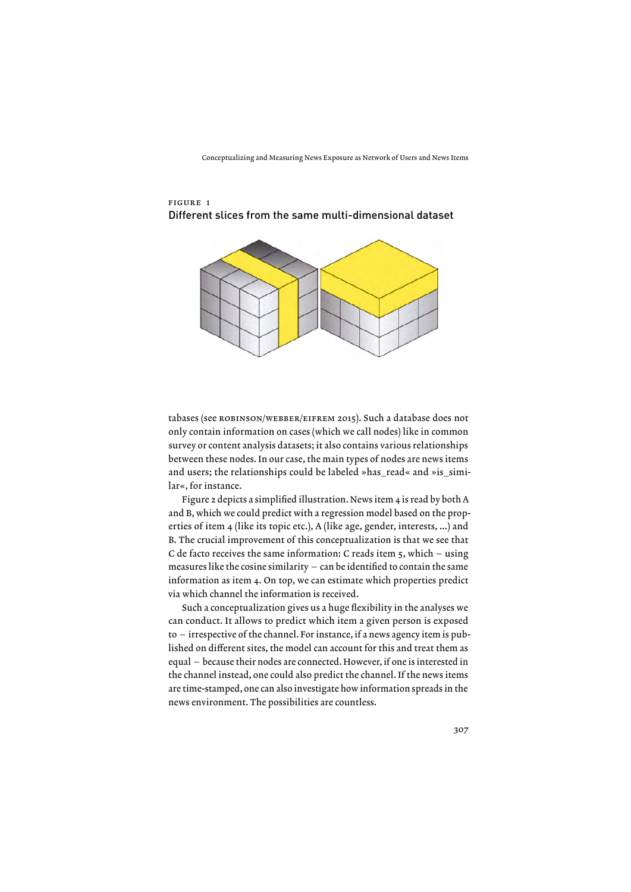



tabases (see robinson/webber/eiFrem 2015). Such a database does not only contain information on cases (which we call nodes) like in common survey or content analysis datasets; it also contains various relationships between these nodes. In our case, the main types of nodes are news items and users; the relationships could be labeled »has\_read« and »is\_similar«, for instance.

Figure 2 depicts a simplified illustration. News item 4 is read by both A and B, which we could predict with a regression model based on the properties of item 4 (like its topic etc.), A (like age, gender, interests, …) and B. The crucial improvement of this conceptualization is that we see that C de facto receives the same information: C reads item 5, which – using measures like the cosine similarity – can be identified to contain the same information as item 4. On top, we can estimate which properties predict via which channel the information is received.

Such a conceptualization gives us a huge flexibility in the analyses we can conduct. It allows to predict which item a given person is exposed to – irrespective of the channel. For instance, if a news agency item is published on different sites, the model can account for this and treat them as equal – because their nodes are connected. However, if one is interested in the channel instead, one could also predict the channel. If the news items are time-stamped, one can also investigate how information spreads in the news environment. The possibilities are countless.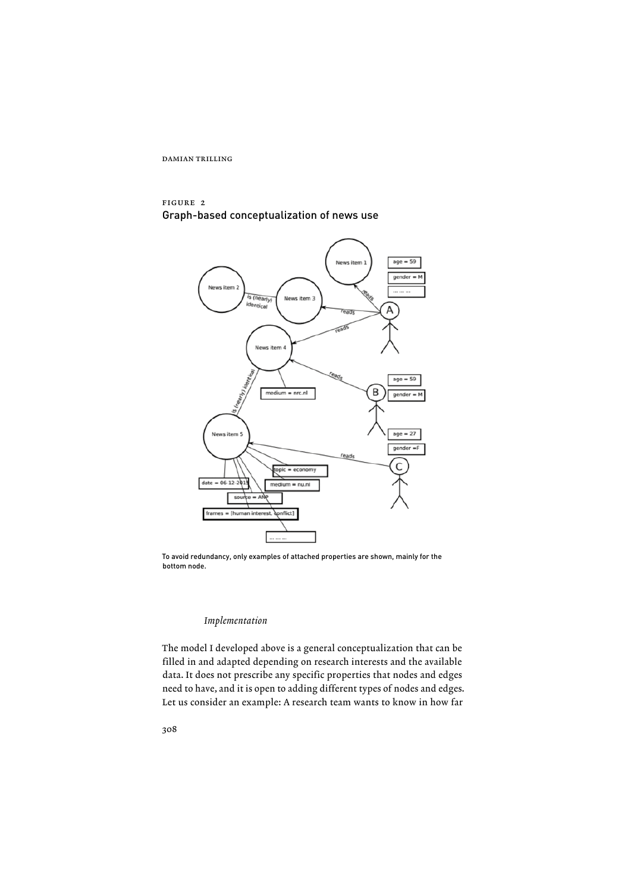



To avoid redundancy, only examples of attached properties are shown, mainly for the bottom node.

#### *Implementation*

The model I developed above is a general conceptualization that can be filled in and adapted depending on research interests and the available data. It does not prescribe any specific properties that nodes and edges need to have, and it is open to adding different types of nodes and edges. Let us consider an example: A research team wants to know in how far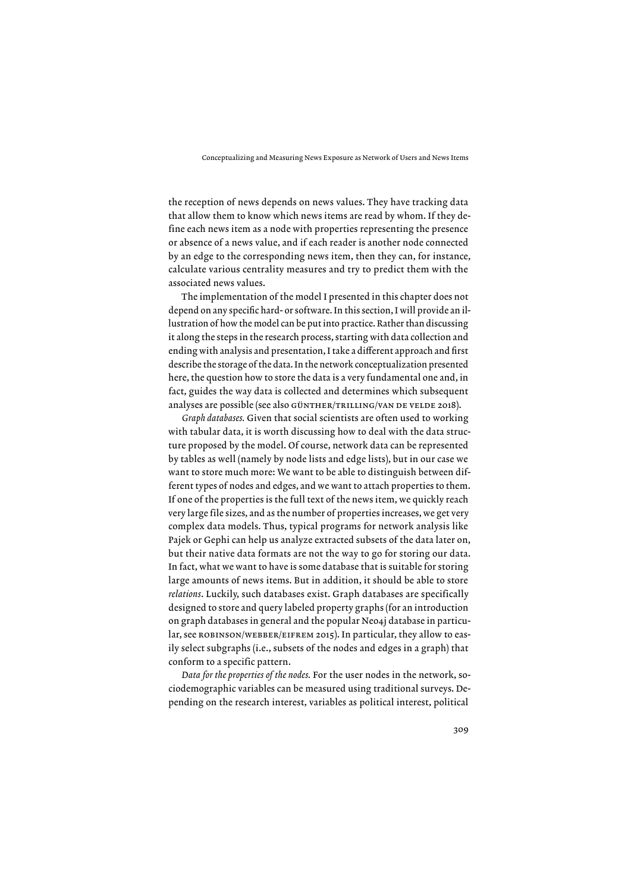the reception of news depends on news values. They have tracking data that allow them to know which news items are read by whom. If they define each news item as a node with properties representing the presence or absence of a news value, and if each reader is another node connected by an edge to the corresponding news item, then they can, for instance, calculate various centrality measures and try to predict them with the associated news values.

The implementation of the model I presented in this chapter does not depend on any specific hard- or software. In this section, I will provide an illustration of how the model can be put into practice. Rather than discussing it along the steps in the research process, starting with data collection and ending with analysis and presentation, I take a different approach and first describe the storage of the data. In the network conceptualization presented here, the question how to store the data is a very fundamental one and, in fact, guides the way data is collected and determines which subsequent analyses are possible (see also GÜNTHER/TRILLING/VAN DE VELDE 2018).

*Graph databases.* Given that social scientists are often used to working with tabular data, it is worth discussing how to deal with the data structure proposed by the model. Of course, network data can be represented by tables as well (namely by node lists and edge lists), but in our case we want to store much more: We want to be able to distinguish between different types of nodes and edges, and we want to attach properties to them. If one of the properties is the full text of the news item, we quickly reach very large file sizes, and as the number of properties increases, we get very complex data models. Thus, typical programs for network analysis like Pajek or Gephi can help us analyze extracted subsets of the data later on, but their native data formats are not the way to go for storing our data. In fact, what we want to have is some database that is suitable for storing large amounts of news items. But in addition, it should be able to store *relations*. Luckily, such databases exist. Graph databases are specifically designed to store and query labeled property graphs (for an introduction on graph databases in general and the popular Neo4j database in particular, see robinson/webber/eiFrem 2015). In particular, they allow to easily select subgraphs (i.e., subsets of the nodes and edges in a graph) that conform to a specific pattern.

*Data for the properties of the nodes.* For the user nodes in the network, sociodemographic variables can be measured using traditional surveys. Depending on the research interest, variables as political interest, political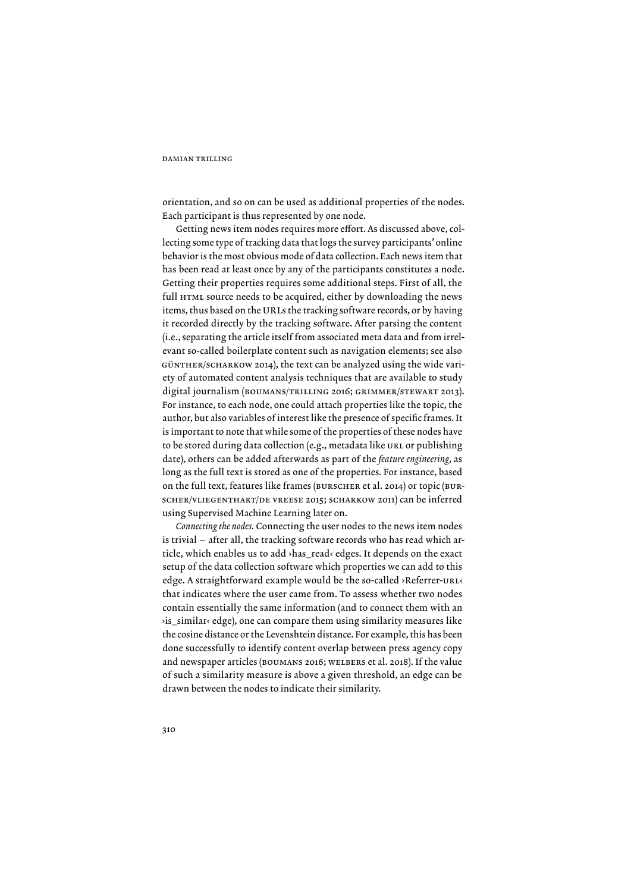orientation, and so on can be used as additional properties of the nodes. Each participant is thus represented by one node.

Getting news item nodes requires more effort. As discussed above, collecting some type of tracking data that logs the survey participants' online behavior is the most obvious mode of data collection. Each news item that has been read at least once by any of the participants constitutes a node. Getting their properties requires some additional steps. First of all, the full HTML source needs to be acquired, either by downloading the news items, thus based on the URLs the tracking software records, or by having it recorded directly by the tracking software. After parsing the content (i.e., separating the article itself from associated meta data and from irrelevant so-called boilerplate content such as navigation elements; see also GÜNTHER/SCHARKOW 2014), the text can be analyzed using the wide variety of automated content analysis techniques that are available to study digital journalism (BOUMANS/TRILLING 2016; GRIMMER/STEWART 2013). For instance, to each node, one could attach properties like the topic, the author, but also variables of interest like the presence of specific frames. It is important to note that while some of the properties of these nodes have to be stored during data collection (e.g., metadata like URL or publishing date), others can be added afterwards as part of the *feature engineering*, as long as the full text is stored as one of the properties. For instance, based on the full text, features like frames (BURSCHER et al. 2014) or topic (BURsCher/VlieGenthart/de Vreese 2015; sCharKow 2011) can be inferred using Supervised Machine Learning later on.

*Connecting the nodes.* Connecting the user nodes to the news item nodes is trivial – after all, the tracking software records who has read which article, which enables us to add ›has\_read‹ edges. It depends on the exact setup of the data collection software which properties we can add to this edge. A straightforward example would be the so-called >Referrer-URL< that indicates where the user came from. To assess whether two nodes contain essentially the same information (and to connect them with an ›is\_similar‹ edge), one can compare them using similarity measures like the cosine distance or the Levenshtein distance. For example, this has been done successfully to identify content overlap between press agency copy and newspaper articles (boumans 2016; welbers et al. 2018). If the value of such a similarity measure is above a given threshold, an edge can be drawn between the nodes to indicate their similarity.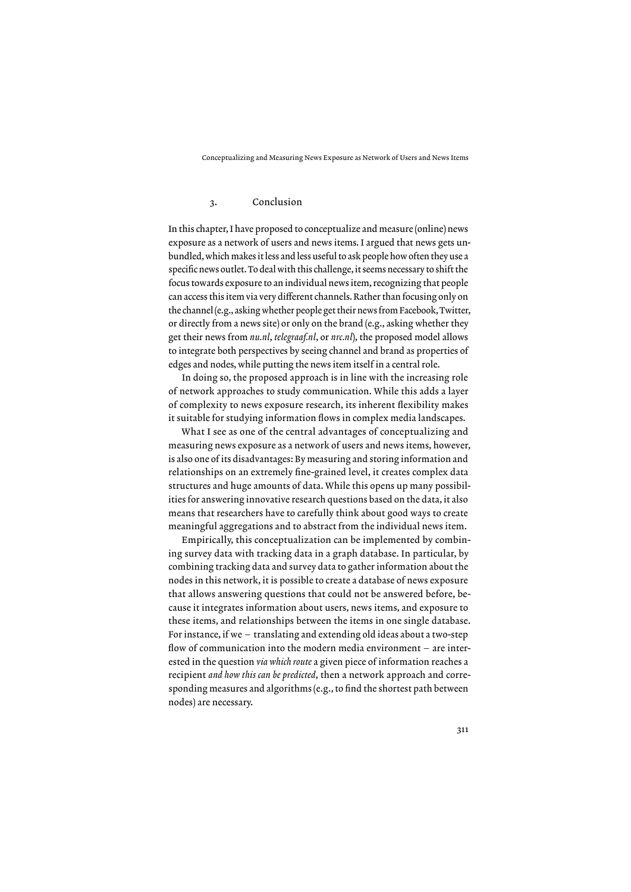#### 3. Conclusion

In this chapter, I have proposed to conceptualize and measure (online) news exposure as a network of users and news items. I argued that news gets unbundled, which makes it less and less useful to ask people how often they use a specific news outlet. To deal with this challenge, it seems necessary to shift the focus towards exposure to an individual news item, recognizing that people can access this item via very different channels. Rather than focusing only on the channel (e.g., asking whether people get their news from Facebook, Twitter, or directly from a news site) or only on the brand (e.g., asking whether they get their news from *nu.nl*, *telegraaf.nl*, or *nrc.nl*), the proposed model allows to integrate both perspectives by seeing channel and brand as properties of edges and nodes, while putting the news item itself in a central role.

In doing so, the proposed approach is in line with the increasing role of network approaches to study communication. While this adds a layer of complexity to news exposure research, its inherent flexibility makes it suitable for studying information flows in complex media landscapes.

What I see as one of the central advantages of conceptualizing and measuring news exposure as a network of users and news items, however, is also one of its disadvantages: By measuring and storing information and relationships on an extremely fine-grained level, it creates complex data structures and huge amounts of data. While this opens up many possibilities for answering innovative research questions based on the data, it also means that researchers have to carefully think about good ways to create meaningful aggregations and to abstract from the individual news item.

Empirically, this conceptualization can be implemented by combining survey data with tracking data in a graph database. In particular, by combining tracking data and survey data to gather information about the nodes in this network, it is possible to create a database of news exposure that allows answering questions that could not be answered before, because it integrates information about users, news items, and exposure to these items, and relationships between the items in one single database. For instance, if we – translating and extending old ideas about a two-step flow of communication into the modern media environment – are interested in the question *via which route* a given piece of information reaches a recipient *and how this can be predicted*, then a network approach and corresponding measures and algorithms (e.g., to find the shortest path between nodes) are necessary.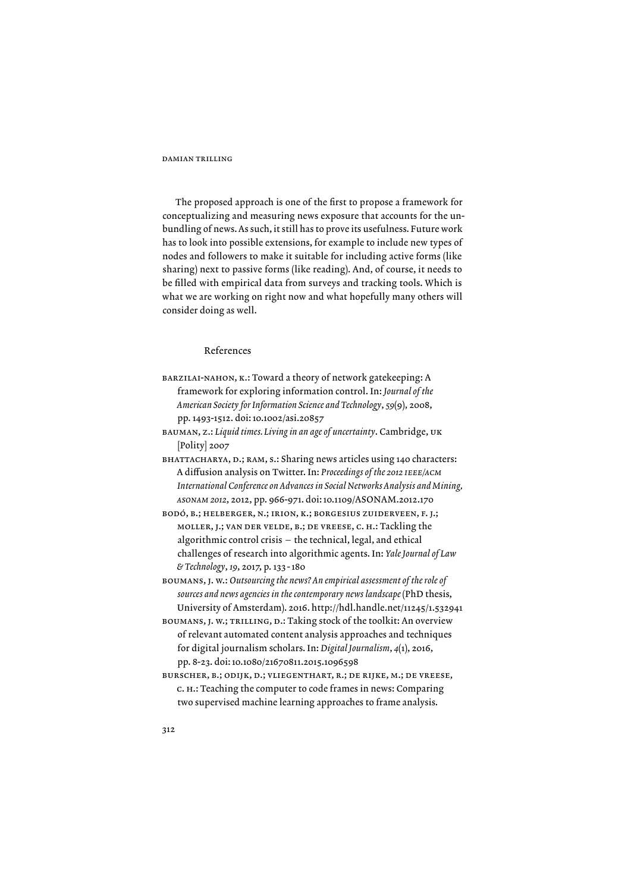The proposed approach is one of the first to propose a framework for conceptualizing and measuring news exposure that accounts for the unbundling of news. As such, it still has to prove its usefulness. Future work has to look into possible extensions, for example to include new types of nodes and followers to make it suitable for including active forms (like sharing) next to passive forms (like reading). And, of course, it needs to be filled with empirical data from surveys and tracking tools. Which is what we are working on right now and what hopefully many others will consider doing as well.

#### References

- barzilai-nahon, K.: Toward a theory of network gatekeeping: A framework for exploring information control. In: *Journal of the American Society for Information Science and Technology*, *59*(9), 2008, pp. 1493-1512. doi: 10.1002/asi.20857
- bauman, z.: *Liquid times. Living in an age of uncertainty*. Cambridge, uK [Polity] 2007
- bhattaCharya, d.; ram, s.: Sharing news articles using 140 characters: A diffusion analysis on Twitter. In: *Proceedings of the 2012 IEEE/ACM International Conference on Advances in Social Networks Analysis and Mining, ASONAM 2012*, 2012, pp. 966-971. doi: 10.1109/ASONAM.2012.170

bodó, b.; helberGer, n.; irion, K.; borGesius zuiderVeen, F. j.; moller, j.; Van der Velde, b.; de Vreese, C. h.: Tackling the algorithmic control crisis – the technical, legal, and ethical challenges of research into algorithmic agents. In: *Yale Journal of Law & Technology*, *19*, 2017, p. 133 - 180

- boumans, j. w.: *Outsourcing the news? An empirical assessment of the role of sources and news agencies in the contemporary news landscape* (PhD thesis, University of Amsterdam). 2016. http://hdl.handle.net/11245/1.532941
- boumans, j. w.; trillinG, d.: Taking stock of the toolkit: An overview of relevant automated content analysis approaches and techniques for digital journalism scholars. In: *Digital Journalism*, *4*(1), 2016, pp. 8-23. doi: 10.1080/21670811.2015.1096598
- bursCher, b.; odijK, d.; VlieGenthart, r.; de rijKe, m.; de Vreese, C. h.: Teaching the computer to code frames in news: Comparing two supervised machine learning approaches to frame analysis.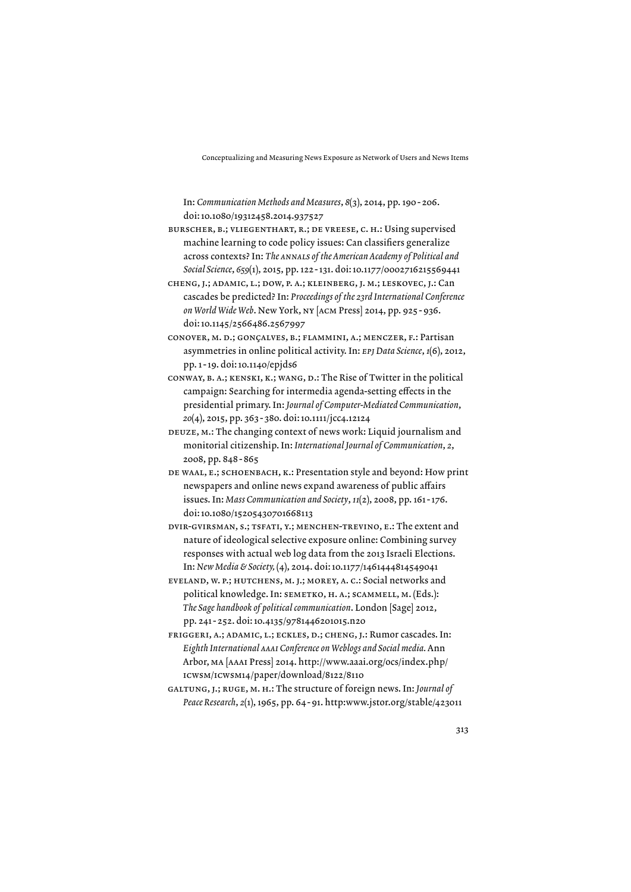In: *Communication Methods and Measures*, *8*(3), 2014, pp. 190 - 206. doi: 10.1080/19312458.2014.937527

- bursCher, b.; VlieGenthart, r.; de Vreese, C. h.: Using supervised machine learning to code policy issues: Can classifiers generalize across contexts? In: *The ANNALS of the American Academy of Political and Social Science*, *659*(1), 2015, pp. 122 - 131. doi: 10.1177/0002716215569441
- ChenG, j.; adamiC, l.; dow, P. a.; KleinberG, j. m.; lesKoVeC, j.: Can cascades be predicted? In: *Proceedings of the 23rd International Conference on World Wide Web*. New York, ny [aCm Press] 2014, pp. 925 - 936. doi: 10.1145/2566486.2567997
- ConoVer, m. d.; GonçalVes, b.; Flammini, a.; menCzer, F.: Partisan asymmetries in online political activity. In: *EPJ Data Science*, *1*(6), 2012, pp. 1 - 19. doi: 10.1140/epjds6
- Conway, b. a.; KensKi, K.; wanG, d.: The Rise of Twitter in the political campaign: Searching for intermedia agenda-setting effects in the presidential primary. In: *Journal of Computer-Mediated Communication*, *20*(4), 2015, pp. 363 - 380. doi: 10.1111/jcc4.12124
- deuze, m.: The changing context of news work: Liquid journalism and monitorial citizenship. In: *International Journal of Communication*, *2*, 2008, pp. 848 - 865
- de waal, e.; sChoenbaCh, K.: Presentation style and beyond: How print newspapers and online news expand awareness of public affairs issues. In: *Mass Communication and Society*, *11*(2), 2008, pp. 161 - 176. doi: 10.1080/15205430701668113
- dVir-GVirsman, s.; tsFati, y.; menChen-treVino, e.: The extent and nature of ideological selective exposure online: Combining survey responses with actual web log data from the 2013 Israeli Elections. In: *New Media & Society,* (4), 2014. doi: 10.1177/1461444814549041
- eVeland, w. P.; hutChens, m. j.; morey, a. C.: Social networks and political knowledge. In: SEMETKO, H. A.; SCAMMELL, M. (Eds.): *The Sage handbook of political communication*. London [Sage] 2012, pp. 241 - 252. doi: 10.4135/9781446201015.n20
- FriGGeri, a.; adamiC, l.; eCKles, d.; ChenG, j.: Rumor cascades. In: *Eighth International AAAI Conference on Weblogs and Social media.* Ann Arbor, ma [aaai Press] 2014. http://www.aaai.org/ocs/index.php/ iCwsm/iCwsm14/paper/download/8122/8110
- GaltunG, j.; ruGe, m. h.: The structure of foreign news. In: *Journal of Peace Research*, *2*(1), 1965, pp. 64 - 91. http:www.jstor.org/stable/423011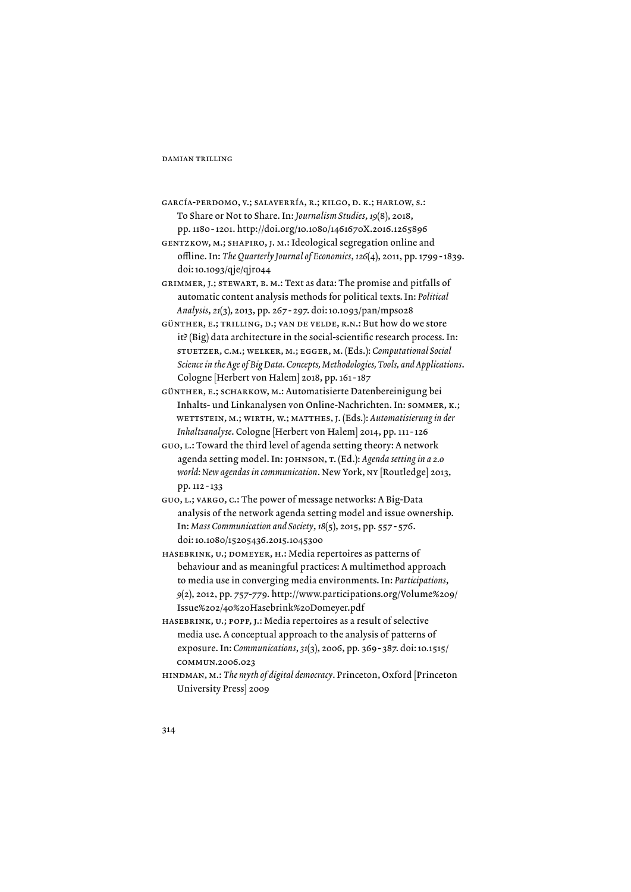- GarCía-Perdomo, V.; salaVerría, r.; KilGo, d. K.; harlow, s.: To Share or Not to Share. In: *Journalism Studies*, *19*(8), 2018, pp. 1180 - 1201. http://doi.org/10.1080/1461670X.2016.1265896
- GENTZKOW, M.; SHAPIRO, J. M.: Ideological segregation online and offline. In: *The Quarterly Journal of Economics*, *126*(4), 2011, pp. 1799 - 1839. doi: 10.1093/qje/qjr044
- Grimmer, j.; stewart, b. m.: Text as data: The promise and pitfalls of automatic content analysis methods for political texts. In: *Political Analysis*, *21*(3), 2013, pp. 267 - 297. doi: 10.1093/pan/mps028
- Günther, e.; trillinG, d.; Van de Velde, r.n.: But how do we store it? (Big) data architecture in the social-scientific research process. In: stuetzer, C.m.; welKer, m.; eGGer, m. (Eds.): *Computational Social Science in the Age of Big Data. Concepts, Methodologies, Tools, and Applications*. Cologne [Herbert von Halem] 2018, pp. 161 - 187
- Günther, e.; sCharKow, m.: Automatisierte Datenbereinigung bei Inhalts- und Linkanalysen von Online-Nachrichten. In: sommer, K.; wettstein, m.; wirth, w.; matthes, j. (Eds.): *Automatisierung in der Inhaltsanalyse*. Cologne [Herbert von Halem] 2014, pp. 111 - 126
- Guo, l.: Toward the third level of agenda setting theory: A network agenda setting model. In: johnson, t. (Ed.): *Agenda setting in a 2.0 world: New agendas in communication*. New York, ny [Routledge] 2013, pp. 112 - 133
- Guo, l.; VarGo, C.: The power of message networks: A Big-Data analysis of the network agenda setting model and issue ownership. In: *Mass Communication and Society*, *18*(5), 2015, pp. 557 - 576. doi: 10.1080/15205436.2015.1045300
- hasebrinK, u.; domeyer, h.: Media repertoires as patterns of behaviour and as meaningful practices: A multimethod approach to media use in converging media environments. In: *Participations*, *9*(2), 2012, pp. 757-779. http://www.participations.org/Volume%209/ Issue%202/40%20Hasebrink%20Domeyer.pdf
- hasebrinK, u.; PoPP, j.: Media repertoires as a result of selective media use. A conceptual approach to the analysis of patterns of exposure. In: *Communications*, *31*(3), 2006, pp. 369 - 387. doi: 10.1515/ Commun.2006.023
- hindman, m.: *The myth of digital democracy*. Princeton, Oxford [Princeton University Press] 2009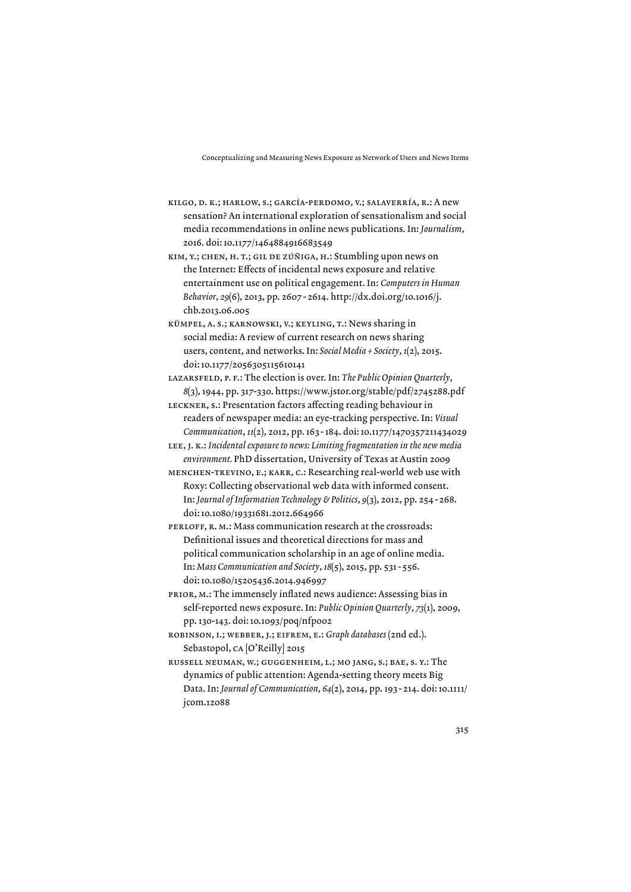- KilGo, d. K.; harlow, s.; GarCía-Perdomo, V.; salaVerría, r.: A new sensation? An international exploration of sensationalism and social media recommendations in online news publications. In: *Journalism*, 2016. doi: 10.1177/1464884916683549
- Kim, y.; Chen, h. t.; Gil de zúñiGa, h.: Stumbling upon news on the Internet: Effects of incidental news exposure and relative entertainment use on political engagement. In: *Computers in Human Behavior*, *29*(6), 2013, pp. 2607 - 2614. http://dx.doi.org/10.1016/j. chb.2013.06.005
- KümPel, a. s.; KarnowsKi, V.; KeylinG, t.: News sharing in social media: A review of current research on news sharing users, content, and networks. In: *Social Media + Society*, *1*(2), 2015. doi: 10.1177/2056305115610141
- lazarsFeld, P. F.: The election is over. In: *The Public Opinion Quarterly*, *8*(3), 1944, pp. 317-330. https://www.jstor.org/stable/pdf/2745288.pdf
- leCKner, s.: Presentation factors affecting reading behaviour in readers of newspaper media: an eye-tracking perspective. In: *Visual Communication*, *11*(2), 2012, pp. 163 - 184. doi: 10.1177/1470357211434029
- lee, j. K.: *Incidental exposure to news: Limiting fragmentation in the new media environment.* PhD dissertation, University of Texas at Austin 2009
- menChen-treVino, e.; Karr, C.: Researching real-world web use with Roxy: Collecting observational web data with informed consent. In: *Journal of Information Technology & Politics*, *9*(3), 2012, pp. 254 - 268. doi: 10.1080/19331681.2012.664966
- PERLOFF, R. M.: Mass communication research at the crossroads: Definitional issues and theoretical directions for mass and political communication scholarship in an age of online media. In: *Mass Communication and Society*, *18*(5), 2015, pp. 531 - 556. doi: 10.1080/15205436.2014.946997
- Prior, m.: The immensely inflated news audience: Assessing bias in self-reported news exposure. In: *Public Opinion Quarterly*, *73*(1), 2009, pp. 130-143. doi: 10.1093/poq/nfp002
- robinson, i.; webber, j.; eiFrem, e.: *Graph databases* (2nd ed.). Sebastopol, Ca [O'Reilly] 2015
- russell neuman, w.; GuGGenheim, l.; mo janG, s.; bae, s. y.: The dynamics of public attention: Agenda-setting theory meets Big Data. In: *Journal of Communication*, *64*(2), 2014, pp. 193 - 214. doi: 10.1111/ jcom.12088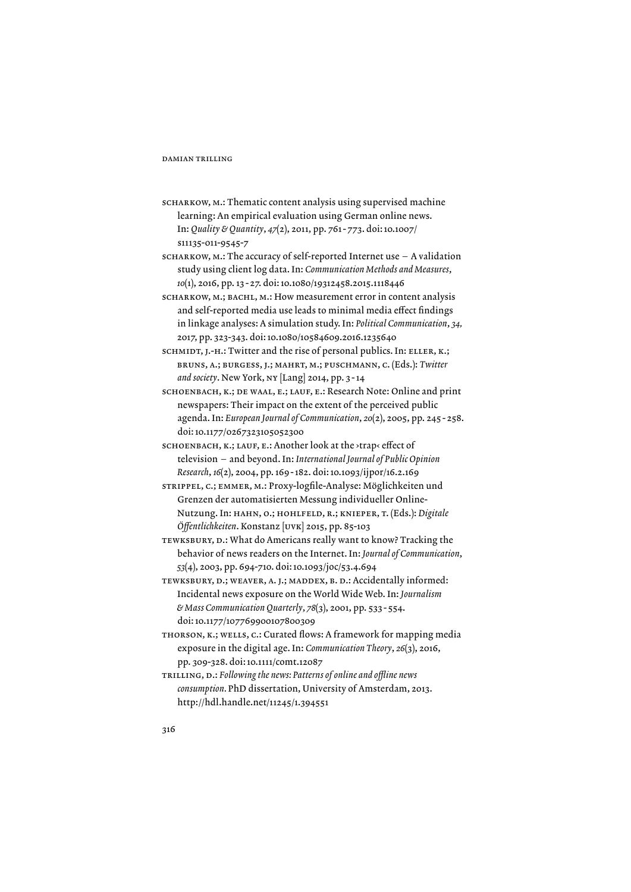sCHARKOW, M.: Thematic content analysis using supervised machine learning: An empirical evaluation using German online news. In: *Quality & Quantity*, *47*(2), 2011, pp. 761 - 773. doi: 10.1007/ s11135-011-9545-7

sCHARKOW, M.: The accuracy of self-reported Internet use - A validation study using client log data. In: *Communication Methods and Measures*, *10*(1), 2016, pp. 13 - 27. doi: 10.1080/19312458.2015.1118446

sCHARKOW, M.; BACHL, M.: How measurement error in content analysis and self-reported media use leads to minimal media effect findings in linkage analyses: A simulation study. In: *Political Communication*, *34,* 2017, pp. 323-343. doi: 10.1080/10584609.2016.1235640

sCHMIDT, J.-H.: Twitter and the rise of personal publics. In: ELLER, K.; bruns, a.; burGess, j.; mahrt, m.; PusChmann, C. (Eds.): *Twitter and society*. New York, ny [Lang] 2014, pp. 3 - 14

sChoenbaCh, K.; de waal, e.; lauF, e.: Research Note: Online and print newspapers: Their impact on the extent of the perceived public agenda. In: *European Journal of Communication*, *20*(2), 2005, pp. 245 - 258. doi: 10.1177/0267323105052300

sChoenbaCh, K.; lauF, e.: Another look at the ›trap‹ effect of television – and beyond. In: *International Journal of Public Opinion Research*, *16*(2), 2004, pp. 169 - 182. doi: 10.1093/ijpor/16.2.169

striPPel, C.; emmer, m.: Proxy-logfile-Analyse: Möglichkeiten und Grenzen der automatisierten Messung individueller Online-Nutzung. In: hahn, o.; hohlFeld, r.; KniePer, t. (Eds.): *Digitale Öffentlichkeiten*. Konstanz [uVK] 2015, pp. 85-103

tewKsbury, d.: What do Americans really want to know? Tracking the behavior of news readers on the Internet. In: *Journal of Communication*, *53*(4), 2003, pp. 694-710. doi: 10.1093/joc/53.4.694

tewKsbury, d.; weaVer, a. j.; maddex, b. d.: Accidentally informed: Incidental news exposure on the World Wide Web. In: *Journalism & Mass Communication Quarterly*, *78*(3), 2001, pp. 533 - 554. doi: 10.1177/107769900107800309

thorson, K.; wells, C.: Curated flows: A framework for mapping media exposure in the digital age. In: *Communication Theory*, *26*(3), 2016, pp. 309-328. doi: 10.1111/comt.12087

trillinG, d.: *Following the news: Patterns of online and offline news consumption.* PhD dissertation, University of Amsterdam, 2013. http://hdl.handle.net/11245/1.394551